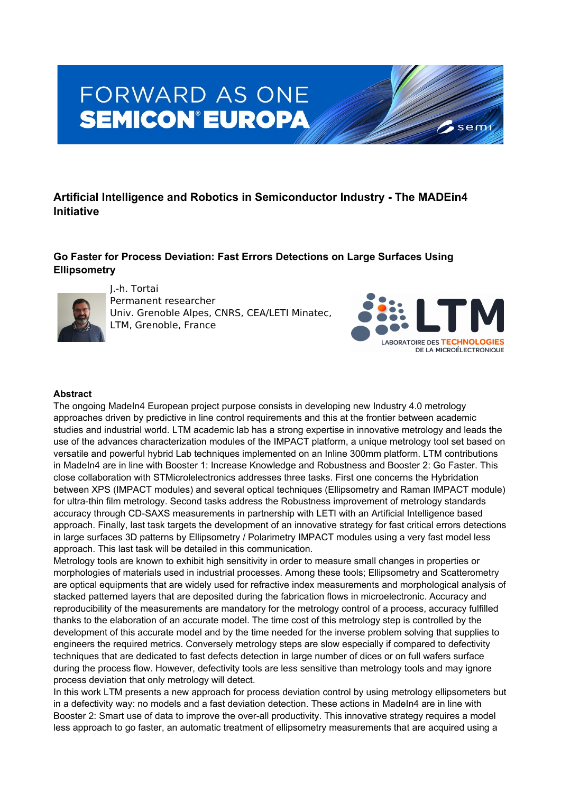# **FORWARD AS ONE SEMICON®EUROPA**

## **Artificial Intelligence and Robotics in Semiconductor Industry - The MADEin4 Initiative**

## **Go Faster for Process Deviation: Fast Errors Detections on Large Surfaces Using Ellipsometry**



J.-h. Tortai

Permanent researcher Univ. Grenoble Alpes, CNRS, CEA/LETI Minatec, LTM, Grenoble, France



sem

#### **Abstract**

The ongoing MadeIn4 European project purpose consists in developing new Industry 4.0 metrology approaches driven by predictive in line control requirements and this at the frontier between academic studies and industrial world. LTM academic lab has a strong expertise in innovative metrology and leads the use of the advances characterization modules of the IMPACT platform, a unique metrology tool set based on versatile and powerful hybrid Lab techniques implemented on an Inline 300mm platform. LTM contributions in MadeIn4 are in line with Booster 1: Increase Knowledge and Robustness and Booster 2: Go Faster. This close collaboration with STMicrolelectronics addresses three tasks. First one concerns the Hybridation between XPS (IMPACT modules) and several optical techniques (Ellipsometry and Raman IMPACT module) for ultra-thin film metrology. Second tasks address the Robustness improvement of metrology standards accuracy through CD-SAXS measurements in partnership with LETI with an Artificial Intelligence based approach. Finally, last task targets the development of an innovative strategy for fast critical errors detections in large surfaces 3D patterns by Ellipsometry / Polarimetry IMPACT modules using a very fast model less approach. This last task will be detailed in this communication.

Metrology tools are known to exhibit high sensitivity in order to measure small changes in properties or morphologies of materials used in industrial processes. Among these tools; Ellipsometry and Scatterometry are optical equipments that are widely used for refractive index measurements and morphological analysis of stacked patterned layers that are deposited during the fabrication flows in microelectronic. Accuracy and reproducibility of the measurements are mandatory for the metrology control of a process, accuracy fulfilled thanks to the elaboration of an accurate model. The time cost of this metrology step is controlled by the development of this accurate model and by the time needed for the inverse problem solving that supplies to engineers the required metrics. Conversely metrology steps are slow especially if compared to defectivity techniques that are dedicated to fast defects detection in large number of dices or on full wafers surface during the process flow. However, defectivity tools are less sensitive than metrology tools and may ignore process deviation that only metrology will detect.

In this work LTM presents a new approach for process deviation control by using metrology ellipsometers but in a defectivity way: no models and a fast deviation detection. These actions in MadeIn4 are in line with Booster 2: Smart use of data to improve the over-all productivity. This innovative strategy requires a model less approach to go faster, an automatic treatment of ellipsometry measurements that are acquired using a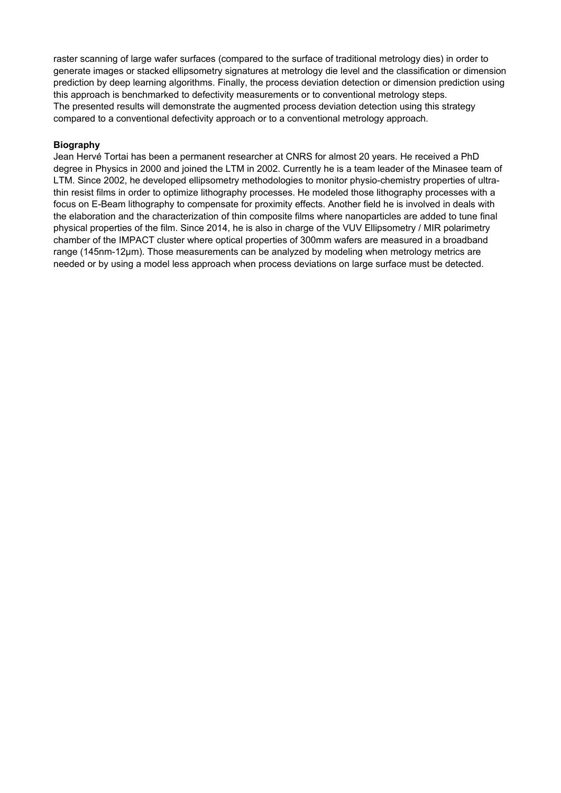raster scanning of large wafer surfaces (compared to the surface of traditional metrology dies) in order to generate images or stacked ellipsometry signatures at metrology die level and the classification or dimension prediction by deep learning algorithms. Finally, the process deviation detection or dimension prediction using this approach is benchmarked to defectivity measurements or to conventional metrology steps. The presented results will demonstrate the augmented process deviation detection using this strategy compared to a conventional defectivity approach or to a conventional metrology approach.

#### **Biography**

Jean Hervé Tortai has been a permanent researcher at CNRS for almost 20 years. He received a PhD degree in Physics in 2000 and joined the LTM in 2002. Currently he is a team leader of the Minasee team of LTM. Since 2002, he developed ellipsometry methodologies to monitor physio-chemistry properties of ultrathin resist films in order to optimize lithography processes. He modeled those lithography processes with a focus on E-Beam lithography to compensate for proximity effects. Another field he is involved in deals with the elaboration and the characterization of thin composite films where nanoparticles are added to tune final physical properties of the film. Since 2014, he is also in charge of the VUV Ellipsometry / MIR polarimetry chamber of the IMPACT cluster where optical properties of 300mm wafers are measured in a broadband range (145nm-12µm). Those measurements can be analyzed by modeling when metrology metrics are needed or by using a model less approach when process deviations on large surface must be detected.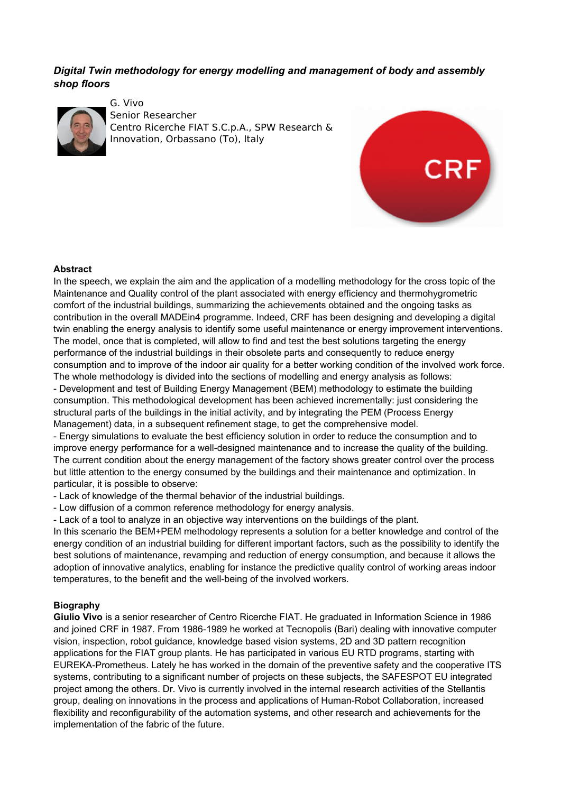## *Digital Twin methodology for energy modelling and management of body and assembly shop floors*



G. Vivo Senior Researcher Centro Ricerche FIAT S.C.p.A., SPW Research & Innovation, Orbassano (To), Italy



#### **Abstract**

In the speech, we explain the aim and the application of a modelling methodology for the cross topic of the Maintenance and Quality control of the plant associated with energy efficiency and thermohygrometric comfort of the industrial buildings, summarizing the achievements obtained and the ongoing tasks as contribution in the overall MADEin4 programme. Indeed, CRF has been designing and developing a digital twin enabling the energy analysis to identify some useful maintenance or energy improvement interventions. The model, once that is completed, will allow to find and test the best solutions targeting the energy performance of the industrial buildings in their obsolete parts and consequently to reduce energy consumption and to improve of the indoor air quality for a better working condition of the involved work force. The whole methodology is divided into the sections of modelling and energy analysis as follows:

- Development and test of Building Energy Management (BEM) methodology to estimate the building consumption. This methodological development has been achieved incrementally: just considering the structural parts of the buildings in the initial activity, and by integrating the PEM (Process Energy Management) data, in a subsequent refinement stage, to get the comprehensive model.

- Energy simulations to evaluate the best efficiency solution in order to reduce the consumption and to improve energy performance for a well-designed maintenance and to increase the quality of the building. The current condition about the energy management of the factory shows greater control over the process but little attention to the energy consumed by the buildings and their maintenance and optimization. In particular, it is possible to observe:

- Lack of knowledge of the thermal behavior of the industrial buildings.

- Low diffusion of a common reference methodology for energy analysis.

- Lack of a tool to analyze in an objective way interventions on the buildings of the plant.

In this scenario the BEM+PEM methodology represents a solution for a better knowledge and control of the energy condition of an industrial building for different important factors, such as the possibility to identify the best solutions of maintenance, revamping and reduction of energy consumption, and because it allows the adoption of innovative analytics, enabling for instance the predictive quality control of working areas indoor temperatures, to the benefit and the well-being of the involved workers.

#### **Biography**

**Giulio Vivo** is a senior researcher of Centro Ricerche FIAT. He graduated in Information Science in 1986 and joined CRF in 1987. From 1986-1989 he worked at Tecnopolis (Bari) dealing with innovative computer vision, inspection, robot guidance, knowledge based vision systems, 2D and 3D pattern recognition applications for the FIAT group plants. He has participated in various EU RTD programs, starting with EUREKA-Prometheus. Lately he has worked in the domain of the preventive safety and the cooperative ITS systems, contributing to a significant number of projects on these subjects, the SAFESPOT EU integrated project among the others. Dr. Vivo is currently involved in the internal research activities of the Stellantis group, dealing on innovations in the process and applications of Human-Robot Collaboration, increased flexibility and reconfigurability of the automation systems, and other research and achievements for the implementation of the fabric of the future.